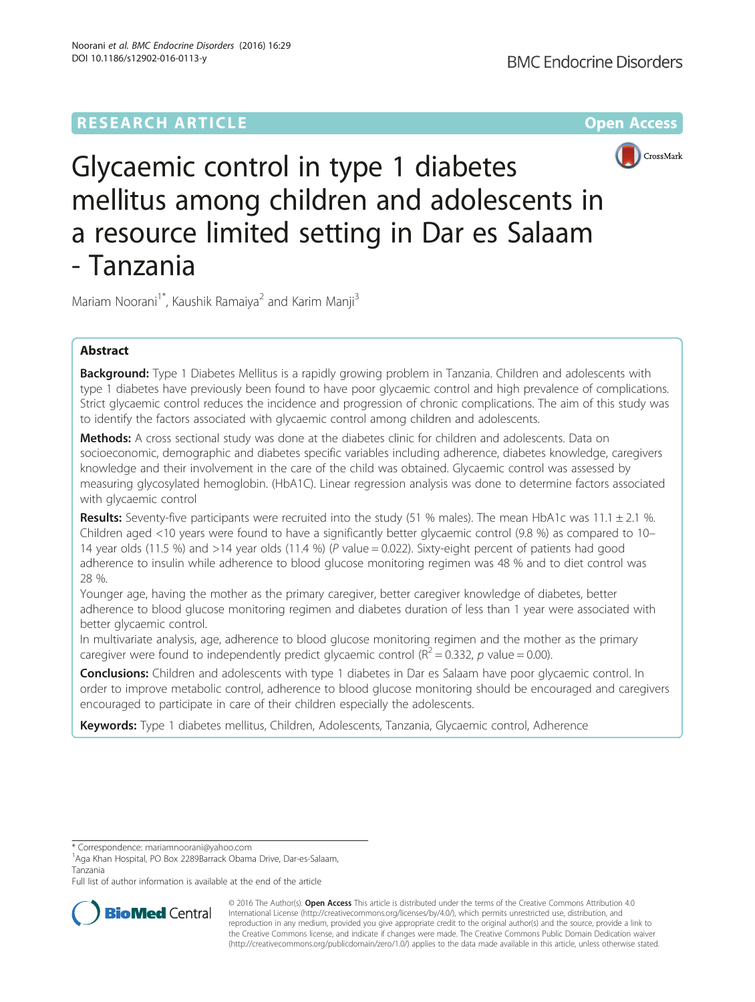# **RESEARCH ARTICLE Example 2014 12:30 The Company Access** (RESEARCH ARTICLE



Glycaemic control in type 1 diabetes mellitus among children and adolescents in a resource limited setting in Dar es Salaam - Tanzania

Mariam Noorani<sup>1\*</sup>, Kaushik Ramaiya<sup>2</sup> and Karim Manji<sup>3</sup>

## Abstract

Background: Type 1 Diabetes Mellitus is a rapidly growing problem in Tanzania. Children and adolescents with type 1 diabetes have previously been found to have poor glycaemic control and high prevalence of complications. Strict glycaemic control reduces the incidence and progression of chronic complications. The aim of this study was to identify the factors associated with glycaemic control among children and adolescents.

Methods: A cross sectional study was done at the diabetes clinic for children and adolescents. Data on socioeconomic, demographic and diabetes specific variables including adherence, diabetes knowledge, caregivers knowledge and their involvement in the care of the child was obtained. Glycaemic control was assessed by measuring glycosylated hemoglobin. (HbA1C). Linear regression analysis was done to determine factors associated with glycaemic control

Results: Seventy-five participants were recruited into the study (51 % males). The mean HbA1c was 11.1  $\pm$  2.1 %. Children aged <10 years were found to have a significantly better glycaemic control (9.8 %) as compared to 10– 14 year olds (11.5 %) and >14 year olds (11.4 %) (P value = 0.022). Sixty-eight percent of patients had good adherence to insulin while adherence to blood glucose monitoring regimen was 48 % and to diet control was 28 %.

Younger age, having the mother as the primary caregiver, better caregiver knowledge of diabetes, better adherence to blood glucose monitoring regimen and diabetes duration of less than 1 year were associated with better glycaemic control.

In multivariate analysis, age, adherence to blood glucose monitoring regimen and the mother as the primary caregiver were found to independently predict glycaemic control ( $R^2$  = 0.332, p value = 0.00).

**Conclusions:** Children and adolescents with type 1 diabetes in Dar es Salaam have poor glycaemic control. In order to improve metabolic control, adherence to blood glucose monitoring should be encouraged and caregivers encouraged to participate in care of their children especially the adolescents.

Keywords: Type 1 diabetes mellitus, Children, Adolescents, Tanzania, Glycaemic control, Adherence

Full list of author information is available at the end of the article



© 2016 The Author(s). Open Access This article is distributed under the terms of the Creative Commons Attribution 4.0 International License [\(http://creativecommons.org/licenses/by/4.0/](http://creativecommons.org/licenses/by/4.0/)), which permits unrestricted use, distribution, and reproduction in any medium, provided you give appropriate credit to the original author(s) and the source, provide a link to the Creative Commons license, and indicate if changes were made. The Creative Commons Public Domain Dedication waiver [\(http://creativecommons.org/publicdomain/zero/1.0/](http://creativecommons.org/publicdomain/zero/1.0/)) applies to the data made available in this article, unless otherwise stated.

<sup>\*</sup> Correspondence: [mariamnoorani@yahoo.com](mailto:mariamnoorani@yahoo.com) <sup>1</sup>

<sup>&</sup>lt;sup>1</sup> Aga Khan Hospital, PO Box 2289Barrack Obama Drive, Dar-es-Salaam, Tanzania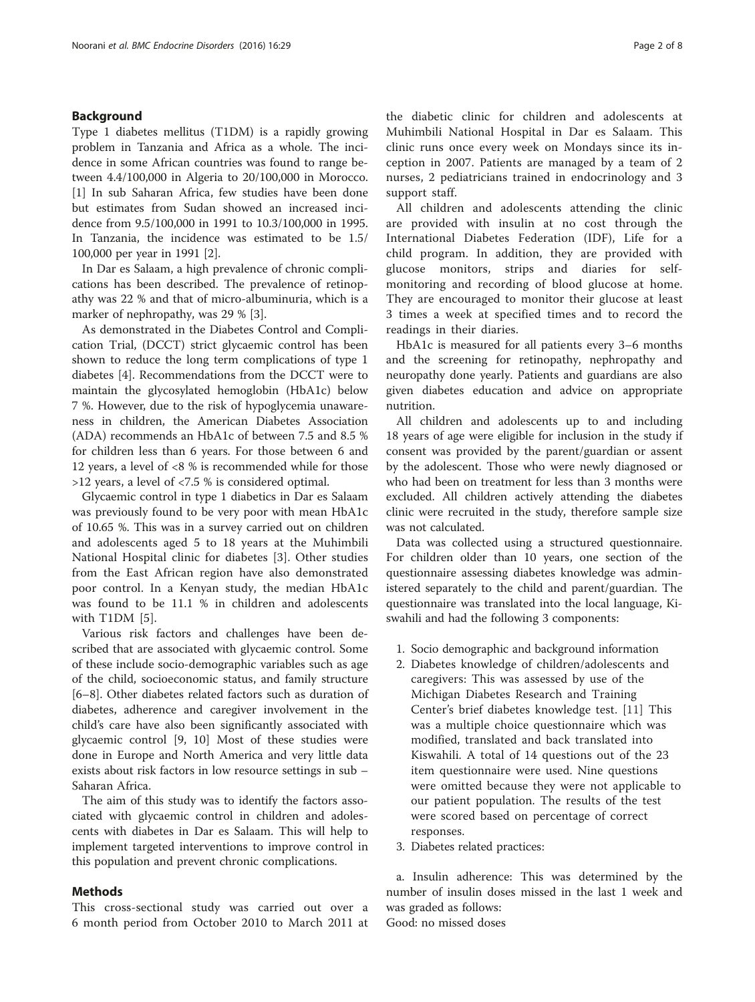## Background

Type 1 diabetes mellitus (T1DM) is a rapidly growing problem in Tanzania and Africa as a whole. The incidence in some African countries was found to range between 4.4/100,000 in Algeria to 20/100,000 in Morocco. [[1\]](#page-6-0) In sub Saharan Africa, few studies have been done but estimates from Sudan showed an increased incidence from 9.5/100,000 in 1991 to 10.3/100,000 in 1995. In Tanzania, the incidence was estimated to be 1.5/ 100,000 per year in 1991 [[2\]](#page-6-0).

In Dar es Salaam, a high prevalence of chronic complications has been described. The prevalence of retinopathy was 22 % and that of micro-albuminuria, which is a marker of nephropathy, was 29 % [\[3](#page-6-0)].

As demonstrated in the Diabetes Control and Complication Trial, (DCCT) strict glycaemic control has been shown to reduce the long term complications of type 1 diabetes [\[4](#page-6-0)]. Recommendations from the DCCT were to maintain the glycosylated hemoglobin (HbA1c) below 7 %. However, due to the risk of hypoglycemia unawareness in children, the American Diabetes Association (ADA) recommends an HbA1c of between 7.5 and 8.5 % for children less than 6 years. For those between 6 and 12 years, a level of <8 % is recommended while for those >12 years, a level of <7.5 % is considered optimal.

Glycaemic control in type 1 diabetics in Dar es Salaam was previously found to be very poor with mean HbA1c of 10.65 %. This was in a survey carried out on children and adolescents aged 5 to 18 years at the Muhimbili National Hospital clinic for diabetes [[3\]](#page-6-0). Other studies from the East African region have also demonstrated poor control. In a Kenyan study, the median HbA1c was found to be 11.1 % in children and adolescents with T1DM [\[5](#page-7-0)].

Various risk factors and challenges have been described that are associated with glycaemic control. Some of these include socio-demographic variables such as age of the child, socioeconomic status, and family structure [[6](#page-7-0)–[8\]](#page-7-0). Other diabetes related factors such as duration of diabetes, adherence and caregiver involvement in the child's care have also been significantly associated with glycaemic control [\[9](#page-7-0), [10](#page-7-0)] Most of these studies were done in Europe and North America and very little data exists about risk factors in low resource settings in sub – Saharan Africa.

The aim of this study was to identify the factors associated with glycaemic control in children and adolescents with diabetes in Dar es Salaam. This will help to implement targeted interventions to improve control in this population and prevent chronic complications.

## Methods

This cross-sectional study was carried out over a 6 month period from October 2010 to March 2011 at

the diabetic clinic for children and adolescents at Muhimbili National Hospital in Dar es Salaam. This clinic runs once every week on Mondays since its inception in 2007. Patients are managed by a team of 2 nurses, 2 pediatricians trained in endocrinology and 3 support staff.

All children and adolescents attending the clinic are provided with insulin at no cost through the International Diabetes Federation (IDF), Life for a child program. In addition, they are provided with glucose monitors, strips and diaries for selfmonitoring and recording of blood glucose at home. They are encouraged to monitor their glucose at least 3 times a week at specified times and to record the readings in their diaries.

HbA1c is measured for all patients every 3–6 months and the screening for retinopathy, nephropathy and neuropathy done yearly. Patients and guardians are also given diabetes education and advice on appropriate nutrition.

All children and adolescents up to and including 18 years of age were eligible for inclusion in the study if consent was provided by the parent/guardian or assent by the adolescent. Those who were newly diagnosed or who had been on treatment for less than 3 months were excluded. All children actively attending the diabetes clinic were recruited in the study, therefore sample size was not calculated.

Data was collected using a structured questionnaire. For children older than 10 years, one section of the questionnaire assessing diabetes knowledge was administered separately to the child and parent/guardian. The questionnaire was translated into the local language, Kiswahili and had the following 3 components:

- 1. Socio demographic and background information
- 2. Diabetes knowledge of children/adolescents and caregivers: This was assessed by use of the Michigan Diabetes Research and Training Center's brief diabetes knowledge test. [[11\]](#page-7-0) This was a multiple choice questionnaire which was modified, translated and back translated into Kiswahili. A total of 14 questions out of the 23 item questionnaire were used. Nine questions were omitted because they were not applicable to our patient population. The results of the test were scored based on percentage of correct responses.
- 3. Diabetes related practices:

a. Insulin adherence: This was determined by the number of insulin doses missed in the last 1 week and was graded as follows:

Good: no missed doses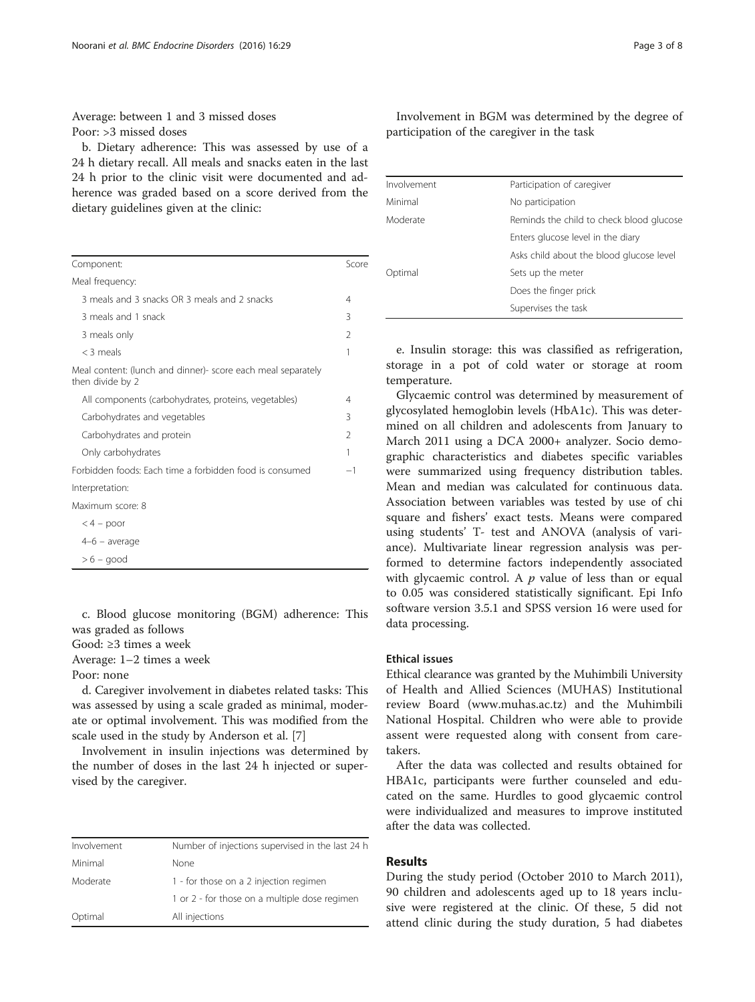## Average: between 1 and 3 missed doses Poor: >3 missed doses

b. Dietary adherence: This was assessed by use of a 24 h dietary recall. All meals and snacks eaten in the last 24 h prior to the clinic visit were documented and adherence was graded based on a score derived from the dietary guidelines given at the clinic:

| Component:                                                                       | Score          |
|----------------------------------------------------------------------------------|----------------|
| Meal frequency:                                                                  |                |
| 3 meals and 3 snacks OR 3 meals and 2 snacks                                     | 4              |
| 3 meals and 1 snack                                                              | 3              |
| 3 meals only                                                                     | $\mathfrak{D}$ |
| $<$ 3 meals                                                                      | 1              |
| Meal content: (lunch and dinner)- score each meal separately<br>then divide by 2 |                |
| All components (carbohydrates, proteins, vegetables)                             | 4              |
| Carbohydrates and vegetables                                                     | 3              |
| Carbohydrates and protein                                                        | $\mathfrak{D}$ |
| Only carbohydrates                                                               | 1              |
| Forbidden foods: Each time a forbidden food is consumed                          | $-1$           |
| Interpretation:                                                                  |                |
| Maximum score: 8                                                                 |                |
| $<$ 4 – poor                                                                     |                |
| $4-6$ – average                                                                  |                |
| $> 6 - good$                                                                     |                |

c. Blood glucose monitoring (BGM) adherence: This was graded as follows

Good: ≥3 times a week

Average: 1–2 times a week

Poor: none

d. Caregiver involvement in diabetes related tasks: This was assessed by using a scale graded as minimal, moderate or optimal involvement. This was modified from the scale used in the study by Anderson et al. [\[7](#page-7-0)]

Involvement in insulin injections was determined by the number of doses in the last 24 h injected or supervised by the caregiver.

| Involvement | Number of injections supervised in the last 24 h |
|-------------|--------------------------------------------------|
| Minimal     | None                                             |
| Moderate    | 1 - for those on a 2 injection regimen           |
|             | 1 or 2 - for those on a multiple dose regimen    |
| Optimal     | All injections                                   |

Involvement in BGM was determined by the degree of participation of the caregiver in the task

| Involvement | Participation of caregiver               |
|-------------|------------------------------------------|
| Minimal     | No participation                         |
| Moderate    | Reminds the child to check blood glucose |
|             | Enters glucose level in the diary        |
|             | Asks child about the blood glucose level |
| Optimal     | Sets up the meter                        |
|             | Does the finger prick                    |
|             | Supervises the task                      |

e. Insulin storage: this was classified as refrigeration, storage in a pot of cold water or storage at room temperature.

Glycaemic control was determined by measurement of glycosylated hemoglobin levels (HbA1c). This was determined on all children and adolescents from January to March 2011 using a DCA 2000+ analyzer. Socio demographic characteristics and diabetes specific variables were summarized using frequency distribution tables. Mean and median was calculated for continuous data. Association between variables was tested by use of chi square and fishers' exact tests. Means were compared using students' T- test and ANOVA (analysis of variance). Multivariate linear regression analysis was performed to determine factors independently associated with glycaemic control. A  $p$  value of less than or equal to 0.05 was considered statistically significant. Epi Info software version 3.5.1 and SPSS version 16 were used for data processing.

## Ethical issues

Ethical clearance was granted by the Muhimbili University of Health and Allied Sciences (MUHAS) Institutional review Board [\(www.muhas.ac.tz](http://www.muhas.ac.tz/)) and the Muhimbili National Hospital. Children who were able to provide assent were requested along with consent from caretakers.

After the data was collected and results obtained for HBA1c, participants were further counseled and educated on the same. Hurdles to good glycaemic control were individualized and measures to improve instituted after the data was collected.

## Results

During the study period (October 2010 to March 2011), 90 children and adolescents aged up to 18 years inclusive were registered at the clinic. Of these, 5 did not attend clinic during the study duration, 5 had diabetes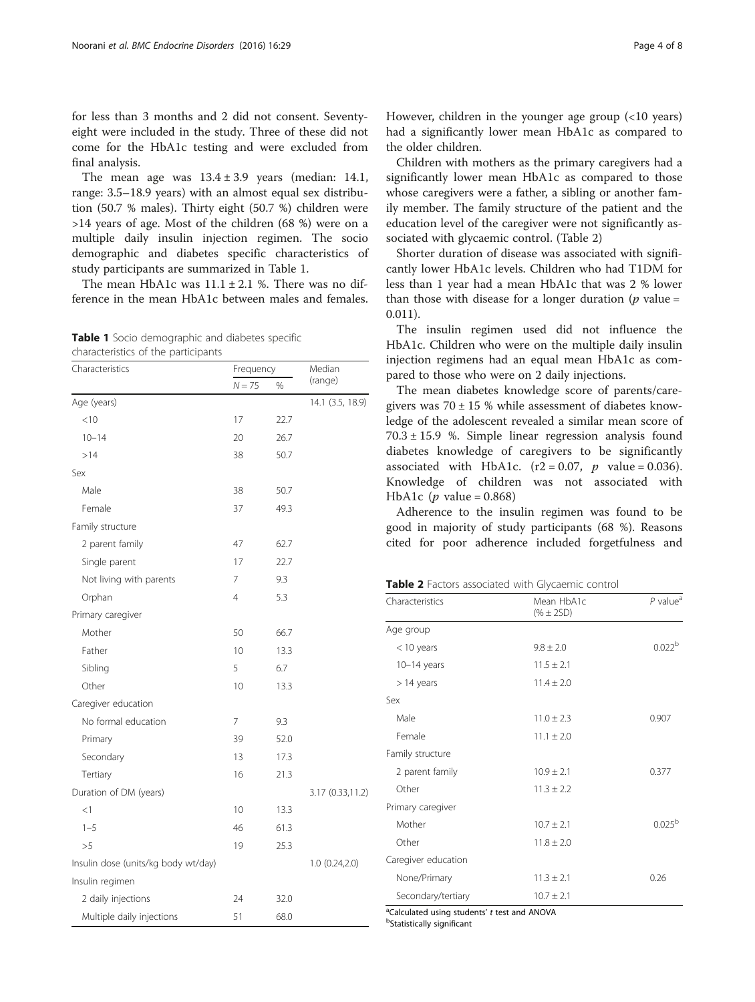for less than 3 months and 2 did not consent. Seventyeight were included in the study. Three of these did not come for the HbA1c testing and were excluded from final analysis.

The mean age was  $13.4 \pm 3.9$  years (median: 14.1, range: 3.5–18.9 years) with an almost equal sex distribution (50.7 % males). Thirty eight (50.7 %) children were >14 years of age. Most of the children (68 %) were on a multiple daily insulin injection regimen. The socio demographic and diabetes specific characteristics of study participants are summarized in Table 1.

The mean HbA1c was  $11.1 \pm 2.1$  %. There was no difference in the mean HbA1c between males and females.

|                                     |  |  | Table 1 Socio demographic and diabetes specific |  |
|-------------------------------------|--|--|-------------------------------------------------|--|
| characteristics of the participants |  |  |                                                 |  |

| Characteristics                     | Frequency |      | Median           |  |
|-------------------------------------|-----------|------|------------------|--|
|                                     | $N = 75$  | %    | (range)          |  |
| Age (years)                         |           |      | 14.1 (3.5, 18.9) |  |
| < 10                                | 17        | 22.7 |                  |  |
| $10 - 14$                           | 20        | 26.7 |                  |  |
| >14                                 | 38        | 50.7 |                  |  |
| Sex                                 |           |      |                  |  |
| Male                                | 38        | 50.7 |                  |  |
| Female                              | 37        | 49.3 |                  |  |
| Family structure                    |           |      |                  |  |
| 2 parent family                     | 47        | 62.7 |                  |  |
| Single parent                       | 17        | 22.7 |                  |  |
| Not living with parents             | 7         | 9.3  |                  |  |
| Orphan                              | 4         | 5.3  |                  |  |
| Primary caregiver                   |           |      |                  |  |
| Mother                              | 50        | 66.7 |                  |  |
| Father                              | 10        | 13.3 |                  |  |
| Sibling                             | 5         | 6.7  |                  |  |
| Other                               | 10        | 13.3 |                  |  |
| Caregiver education                 |           |      |                  |  |
| No formal education                 | 7         | 9.3  |                  |  |
| Primary                             | 39        | 52.0 |                  |  |
| Secondary                           | 13        | 17.3 |                  |  |
| Tertiary                            | 16        | 21.3 |                  |  |
| Duration of DM (years)              |           |      | 3.17 (0.33,11.2) |  |
| $<$ 1                               | 10        | 13.3 |                  |  |
| $1 - 5$                             | 46        | 61.3 |                  |  |
| >5                                  | 19        | 25.3 |                  |  |
| Insulin dose (units/kg body wt/day) |           |      | 1.0(0.24,2.0)    |  |
| Insulin regimen                     |           |      |                  |  |
| 2 daily injections                  | 24        | 32.0 |                  |  |
| Multiple daily injections           | 51        | 68.0 |                  |  |

However, children in the younger age group (<10 years) had a significantly lower mean HbA1c as compared to the older children.

Children with mothers as the primary caregivers had a significantly lower mean HbA1c as compared to those whose caregivers were a father, a sibling or another family member. The family structure of the patient and the education level of the caregiver were not significantly associated with glycaemic control. (Table 2)

Shorter duration of disease was associated with significantly lower HbA1c levels. Children who had T1DM for less than 1 year had a mean HbA1c that was 2 % lower than those with disease for a longer duration ( $p$  value = 0.011).

The insulin regimen used did not influence the HbA1c. Children who were on the multiple daily insulin injection regimens had an equal mean HbA1c as compared to those who were on 2 daily injections.

The mean diabetes knowledge score of parents/caregivers was  $70 \pm 15$  % while assessment of diabetes knowledge of the adolescent revealed a similar mean score of 70.3 ± 15.9 %. Simple linear regression analysis found diabetes knowledge of caregivers to be significantly associated with HbA1c.  $(r2 = 0.07, p$  value = 0.036). Knowledge of children was not associated with HbA1c ( $p$  value = 0.868)

Adherence to the insulin regimen was found to be good in majority of study participants (68 %). Reasons cited for poor adherence included forgetfulness and

|  |  |  | Table 2 Factors associated with Glycaemic control |  |  |  |
|--|--|--|---------------------------------------------------|--|--|--|
|--|--|--|---------------------------------------------------|--|--|--|

| Characteristics     | Mean HbA1c<br>$(% 0,1)$ (% ± 2SD) | $P$ value <sup>a</sup> |
|---------------------|-----------------------------------|------------------------|
| Age group           |                                   |                        |
| $<$ 10 years        | $9.8 \pm 2.0$                     | 0.022 <sup>b</sup>     |
| $10-14$ years       | $11.5 \pm 2.1$                    |                        |
| $>$ 14 years        | $11.4 \pm 2.0$                    |                        |
| Sex                 |                                   |                        |
| Male                | $11.0 \pm 2.3$                    | 0.907                  |
| Female              | $11.1 \pm 2.0$                    |                        |
| Family structure    |                                   |                        |
| 2 parent family     | $10.9 \pm 2.1$                    | 0.377                  |
| Other               | $11.3 \pm 2.2$                    |                        |
| Primary caregiver   |                                   |                        |
| Mother              | $10.7 \pm 2.1$                    | 0.025 <sup>b</sup>     |
| Other               | $11.8 \pm 2.0$                    |                        |
| Caregiver education |                                   |                        |
| None/Primary        | $11.3 \pm 2.1$                    | 0.26                   |
| Secondary/tertiary  | $10.7 \pm 2.1$                    |                        |

 $a^2$ Calculated using students' t test and ANOVA

Statistically significant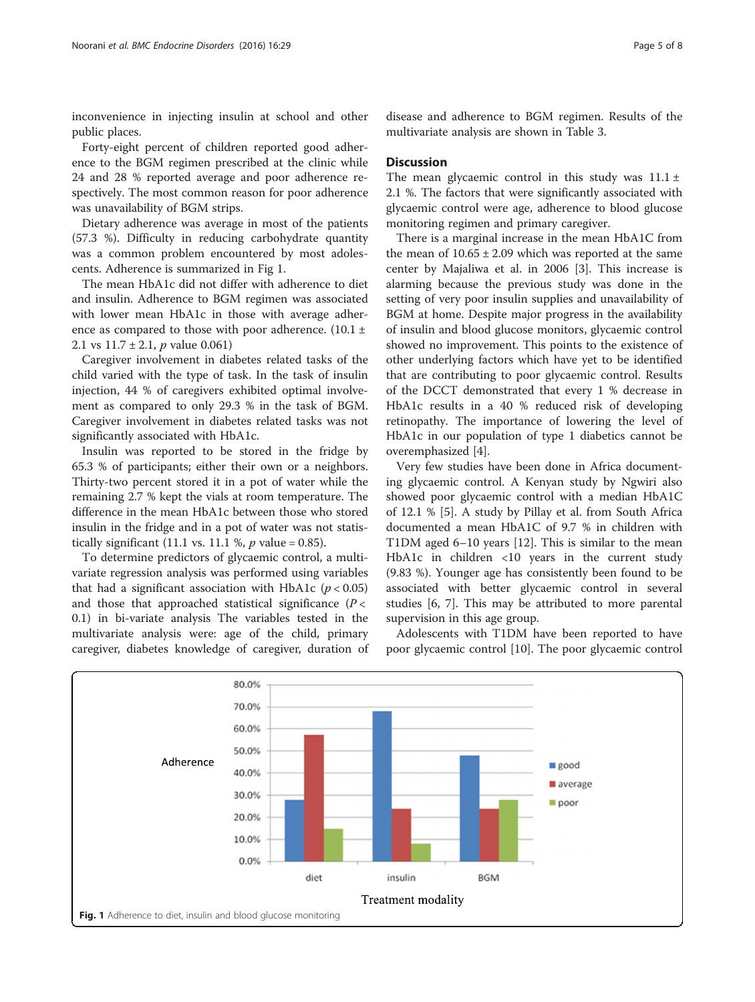inconvenience in injecting insulin at school and other public places.

Forty-eight percent of children reported good adherence to the BGM regimen prescribed at the clinic while 24 and 28 % reported average and poor adherence respectively. The most common reason for poor adherence was unavailability of BGM strips.

Dietary adherence was average in most of the patients (57.3 %). Difficulty in reducing carbohydrate quantity was a common problem encountered by most adolescents. Adherence is summarized in Fig 1.

The mean HbA1c did not differ with adherence to diet and insulin. Adherence to BGM regimen was associated with lower mean HbA1c in those with average adherence as compared to those with poor adherence.  $(10.1 \pm$ 2.1 vs  $11.7 \pm 2.1$ , *p* value 0.061)

Caregiver involvement in diabetes related tasks of the child varied with the type of task. In the task of insulin injection, 44 % of caregivers exhibited optimal involvement as compared to only 29.3 % in the task of BGM. Caregiver involvement in diabetes related tasks was not significantly associated with HbA1c.

Insulin was reported to be stored in the fridge by 65.3 % of participants; either their own or a neighbors. Thirty-two percent stored it in a pot of water while the remaining 2.7 % kept the vials at room temperature. The difference in the mean HbA1c between those who stored insulin in the fridge and in a pot of water was not statistically significant (11.1 vs. 11.1 %,  $p$  value = 0.85).

To determine predictors of glycaemic control, a multivariate regression analysis was performed using variables that had a significant association with HbA1c ( $p < 0.05$ ) and those that approached statistical significance  $(P <$ 0.1) in bi-variate analysis The variables tested in the multivariate analysis were: age of the child, primary caregiver, diabetes knowledge of caregiver, duration of disease and adherence to BGM regimen. Results of the multivariate analysis are shown in Table [3](#page-5-0).

## **Discussion**

The mean glycaemic control in this study was  $11.1 \pm$ 2.1 %. The factors that were significantly associated with glycaemic control were age, adherence to blood glucose monitoring regimen and primary caregiver.

There is a marginal increase in the mean HbA1C from the mean of  $10.65 \pm 2.09$  which was reported at the same center by Majaliwa et al. in 2006 [[3\]](#page-6-0). This increase is alarming because the previous study was done in the setting of very poor insulin supplies and unavailability of BGM at home. Despite major progress in the availability of insulin and blood glucose monitors, glycaemic control showed no improvement. This points to the existence of other underlying factors which have yet to be identified that are contributing to poor glycaemic control. Results of the DCCT demonstrated that every 1 % decrease in HbA1c results in a 40 % reduced risk of developing retinopathy. The importance of lowering the level of HbA1c in our population of type 1 diabetics cannot be overemphasized [\[4](#page-6-0)].

Very few studies have been done in Africa documenting glycaemic control. A Kenyan study by Ngwiri also showed poor glycaemic control with a median HbA1C of 12.1 % [\[5](#page-7-0)]. A study by Pillay et al. from South Africa documented a mean HbA1C of 9.7 % in children with T1DM aged 6–10 years [\[12](#page-7-0)]. This is similar to the mean HbA1c in children <10 years in the current study (9.83 %). Younger age has consistently been found to be associated with better glycaemic control in several studies [\[6](#page-7-0), [7](#page-7-0)]. This may be attributed to more parental supervision in this age group.

Adolescents with T1DM have been reported to have poor glycaemic control [[10\]](#page-7-0). The poor glycaemic control

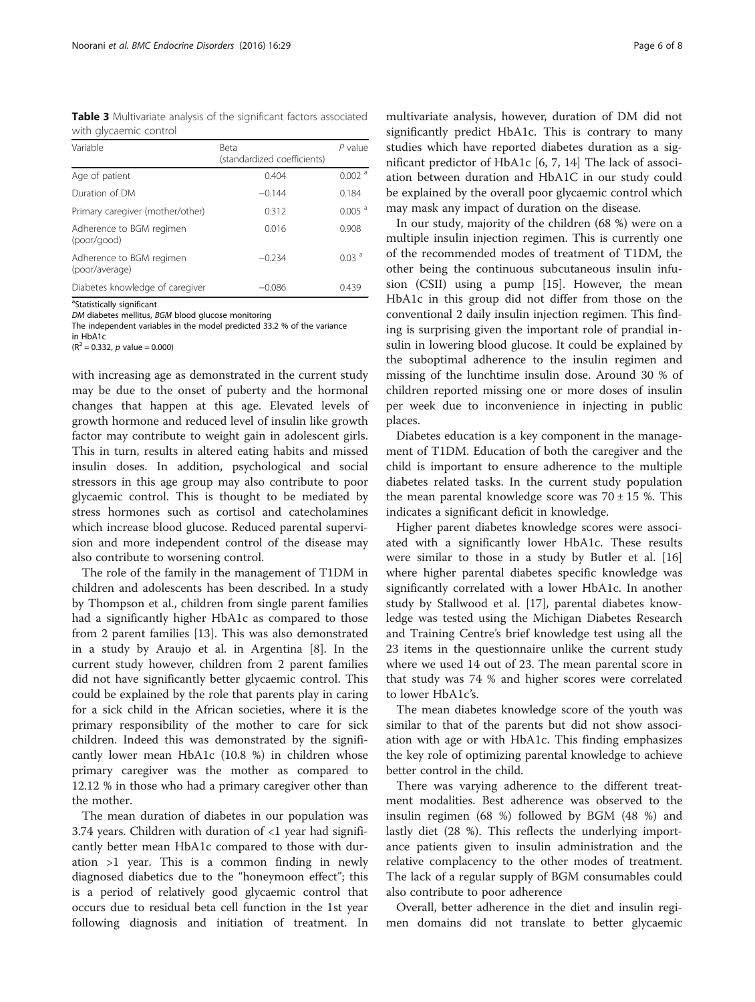<span id="page-5-0"></span>Table 3 Multivariate analysis of the significant factors associated with glycaemic control

| Variable                                   | <b>Beta</b><br>(standardized coefficients) | $P$ value            |
|--------------------------------------------|--------------------------------------------|----------------------|
| Age of patient                             | 0.404                                      | 0.002 <sup>a</sup>   |
| Duration of DM                             | $-0.144$                                   | 0.184                |
| Primary caregiver (mother/other)           | 0.312                                      | $0.005$ <sup>a</sup> |
| Adherence to BGM regimen<br>(poor/qood)    | 0.016                                      | 0.908                |
| Adherence to BGM regimen<br>(poor/average) | $-0.234$                                   | 0.03 <sup>a</sup>    |
| Diabetes knowledge of caregiver            | -0.086                                     | 0.439                |

<sup>a</sup>Statistically significant

DM diabetes mellitus, BGM blood glucose monitoring

The independent variables in the model predicted 33.2 % of the variance

in HbA1c

 $(R^2 = 0.332, p$  value = 0.000)

with increasing age as demonstrated in the current study may be due to the onset of puberty and the hormonal changes that happen at this age. Elevated levels of growth hormone and reduced level of insulin like growth factor may contribute to weight gain in adolescent girls. This in turn, results in altered eating habits and missed insulin doses. In addition, psychological and social stressors in this age group may also contribute to poor glycaemic control. This is thought to be mediated by stress hormones such as cortisol and catecholamines which increase blood glucose. Reduced parental supervision and more independent control of the disease may also contribute to worsening control.

The role of the family in the management of T1DM in children and adolescents has been described. In a study by Thompson et al., children from single parent families had a significantly higher HbA1c as compared to those from 2 parent families [\[13\]](#page-7-0). This was also demonstrated in a study by Araujo et al. in Argentina [[8](#page-7-0)]. In the current study however, children from 2 parent families did not have significantly better glycaemic control. This could be explained by the role that parents play in caring for a sick child in the African societies, where it is the primary responsibility of the mother to care for sick children. Indeed this was demonstrated by the significantly lower mean HbA1c (10.8 %) in children whose primary caregiver was the mother as compared to 12.12 % in those who had a primary caregiver other than the mother.

The mean duration of diabetes in our population was 3.74 years. Children with duration of <1 year had significantly better mean HbA1c compared to those with duration >1 year. This is a common finding in newly diagnosed diabetics due to the "honeymoon effect"; this is a period of relatively good glycaemic control that occurs due to residual beta cell function in the 1st year following diagnosis and initiation of treatment. In

multivariate analysis, however, duration of DM did not significantly predict HbA1c. This is contrary to many studies which have reported diabetes duration as a significant predictor of HbA1c [\[6](#page-7-0), [7](#page-7-0), [14](#page-7-0)] The lack of association between duration and HbA1C in our study could be explained by the overall poor glycaemic control which may mask any impact of duration on the disease.

In our study, majority of the children (68 %) were on a multiple insulin injection regimen. This is currently one of the recommended modes of treatment of T1DM, the other being the continuous subcutaneous insulin infusion (CSII) using a pump [\[15\]](#page-7-0). However, the mean HbA1c in this group did not differ from those on the conventional 2 daily insulin injection regimen. This finding is surprising given the important role of prandial insulin in lowering blood glucose. It could be explained by the suboptimal adherence to the insulin regimen and missing of the lunchtime insulin dose. Around 30 % of children reported missing one or more doses of insulin per week due to inconvenience in injecting in public places.

Diabetes education is a key component in the management of T1DM. Education of both the caregiver and the child is important to ensure adherence to the multiple diabetes related tasks. In the current study population the mean parental knowledge score was  $70 \pm 15$  %. This indicates a significant deficit in knowledge.

Higher parent diabetes knowledge scores were associated with a significantly lower HbA1c. These results were similar to those in a study by Butler et al. [[16](#page-7-0)] where higher parental diabetes specific knowledge was significantly correlated with a lower HbA1c. In another study by Stallwood et al. [\[17\]](#page-7-0), parental diabetes knowledge was tested using the Michigan Diabetes Research and Training Centre's brief knowledge test using all the 23 items in the questionnaire unlike the current study where we used 14 out of 23. The mean parental score in that study was 74 % and higher scores were correlated to lower HbA1c's.

The mean diabetes knowledge score of the youth was similar to that of the parents but did not show association with age or with HbA1c. This finding emphasizes the key role of optimizing parental knowledge to achieve better control in the child.

There was varying adherence to the different treatment modalities. Best adherence was observed to the insulin regimen (68 %) followed by BGM (48 %) and lastly diet (28 %). This reflects the underlying importance patients given to insulin administration and the relative complacency to the other modes of treatment. The lack of a regular supply of BGM consumables could also contribute to poor adherence

Overall, better adherence in the diet and insulin regimen domains did not translate to better glycaemic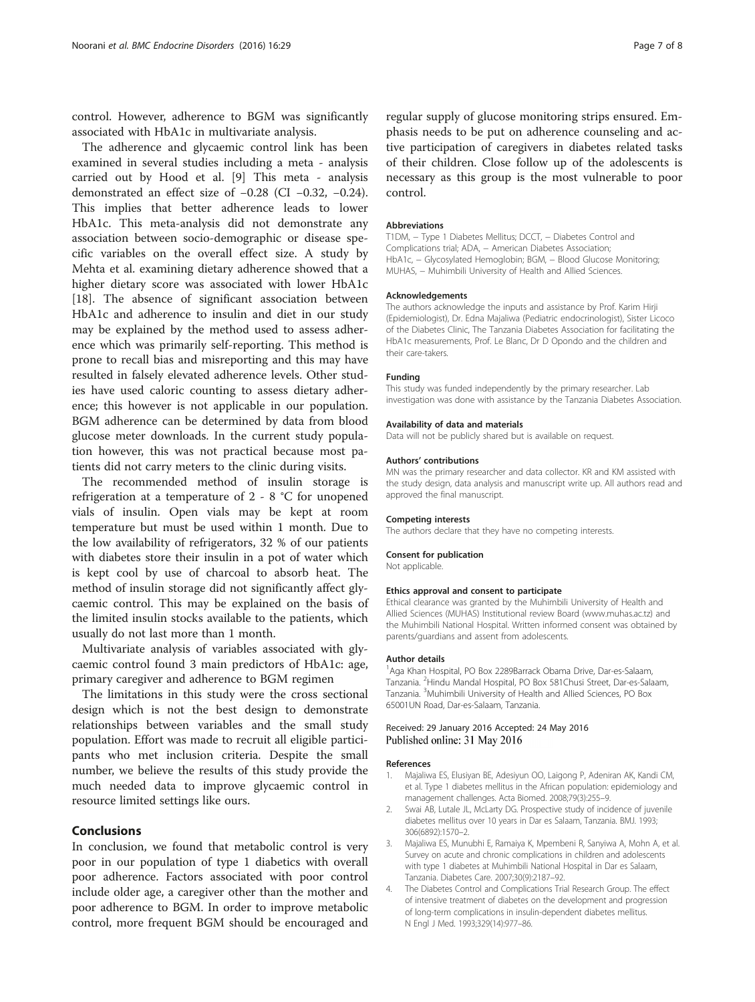<span id="page-6-0"></span>control. However, adherence to BGM was significantly associated with HbA1c in multivariate analysis.

The adherence and glycaemic control link has been examined in several studies including a meta - analysis carried out by Hood et al. [[9\]](#page-7-0) This meta - analysis demonstrated an effect size of −0.28 (CI −0.32, −0.24). This implies that better adherence leads to lower HbA1c. This meta-analysis did not demonstrate any association between socio-demographic or disease specific variables on the overall effect size. A study by Mehta et al. examining dietary adherence showed that a higher dietary score was associated with lower HbA1c [[18\]](#page-7-0). The absence of significant association between HbA1c and adherence to insulin and diet in our study may be explained by the method used to assess adherence which was primarily self-reporting. This method is prone to recall bias and misreporting and this may have resulted in falsely elevated adherence levels. Other studies have used caloric counting to assess dietary adherence; this however is not applicable in our population. BGM adherence can be determined by data from blood glucose meter downloads. In the current study population however, this was not practical because most patients did not carry meters to the clinic during visits.

The recommended method of insulin storage is refrigeration at a temperature of 2 - 8 °C for unopened vials of insulin. Open vials may be kept at room temperature but must be used within 1 month. Due to the low availability of refrigerators, 32 % of our patients with diabetes store their insulin in a pot of water which is kept cool by use of charcoal to absorb heat. The method of insulin storage did not significantly affect glycaemic control. This may be explained on the basis of the limited insulin stocks available to the patients, which usually do not last more than 1 month.

Multivariate analysis of variables associated with glycaemic control found 3 main predictors of HbA1c: age, primary caregiver and adherence to BGM regimen

The limitations in this study were the cross sectional design which is not the best design to demonstrate relationships between variables and the small study population. Effort was made to recruit all eligible participants who met inclusion criteria. Despite the small number, we believe the results of this study provide the much needed data to improve glycaemic control in resource limited settings like ours.

## Conclusions

In conclusion, we found that metabolic control is very poor in our population of type 1 diabetics with overall poor adherence. Factors associated with poor control include older age, a caregiver other than the mother and poor adherence to BGM. In order to improve metabolic control, more frequent BGM should be encouraged and regular supply of glucose monitoring strips ensured. Emphasis needs to be put on adherence counseling and active participation of caregivers in diabetes related tasks of their children. Close follow up of the adolescents is necessary as this group is the most vulnerable to poor control.

#### Abbreviations

T1DM, - Type 1 Diabetes Mellitus; DCCT, - Diabetes Control and Complications trial; ADA, − American Diabetes Association; HbA1c, - Glycosylated Hemoglobin; BGM, - Blood Glucose Monitoring; MUHAS, − Muhimbili University of Health and Allied Sciences.

#### Acknowledgements

The authors acknowledge the inputs and assistance by Prof. Karim Hirji (Epidemiologist), Dr. Edna Majaliwa (Pediatric endocrinologist), Sister Licoco of the Diabetes Clinic, The Tanzania Diabetes Association for facilitating the HbA1c measurements, Prof. Le Blanc, Dr D Opondo and the children and their care-takers.

### Funding

This study was funded independently by the primary researcher. Lab investigation was done with assistance by the Tanzania Diabetes Association.

#### Availability of data and materials

Data will not be publicly shared but is available on request.

#### Authors' contributions

MN was the primary researcher and data collector. KR and KM assisted with the study design, data analysis and manuscript write up. All authors read and approved the final manuscript.

#### Competing interests

The authors declare that they have no competing interests.

#### Consent for publication

Not applicable.

#### Ethics approval and consent to participate

Ethical clearance was granted by the Muhimbili University of Health and Allied Sciences (MUHAS) Institutional review Board [\(www.muhas.ac.tz](http://www.muhas.ac.tz/)) and the Muhimbili National Hospital. Written informed consent was obtained by parents/guardians and assent from adolescents.

#### Author details

1 Aga Khan Hospital, PO Box 2289Barrack Obama Drive, Dar-es-Salaam, Tanzania. <sup>2</sup> Hindu Mandal Hospital, PO Box 581Chusi Street, Dar-es-Salaam, Tanzania. <sup>3</sup>Muhimbili University of Health and Allied Sciences, PO Box 65001UN Road, Dar-es-Salaam, Tanzania.

### Received: 29 January 2016 Accepted: 24 May 2016 Published online: 31 May 2016

#### References

- 1. Majaliwa ES, Elusiyan BE, Adesiyun OO, Laigong P, Adeniran AK, Kandi CM, et al. Type 1 diabetes mellitus in the African population: epidemiology and management challenges. Acta Biomed. 2008;79(3):255–9.
- 2. Swai AB, Lutale JL, McLarty DG. Prospective study of incidence of juvenile diabetes mellitus over 10 years in Dar es Salaam, Tanzania. BMJ. 1993; 306(6892):1570–2.
- 3. Majaliwa ES, Munubhi E, Ramaiya K, Mpembeni R, Sanyiwa A, Mohn A, et al. Survey on acute and chronic complications in children and adolescents with type 1 diabetes at Muhimbili National Hospital in Dar es Salaam, Tanzania. Diabetes Care. 2007;30(9):2187–92.
- 4. The Diabetes Control and Complications Trial Research Group. The effect of intensive treatment of diabetes on the development and progression of long-term complications in insulin-dependent diabetes mellitus. N Engl J Med. 1993;329(14):977–86.